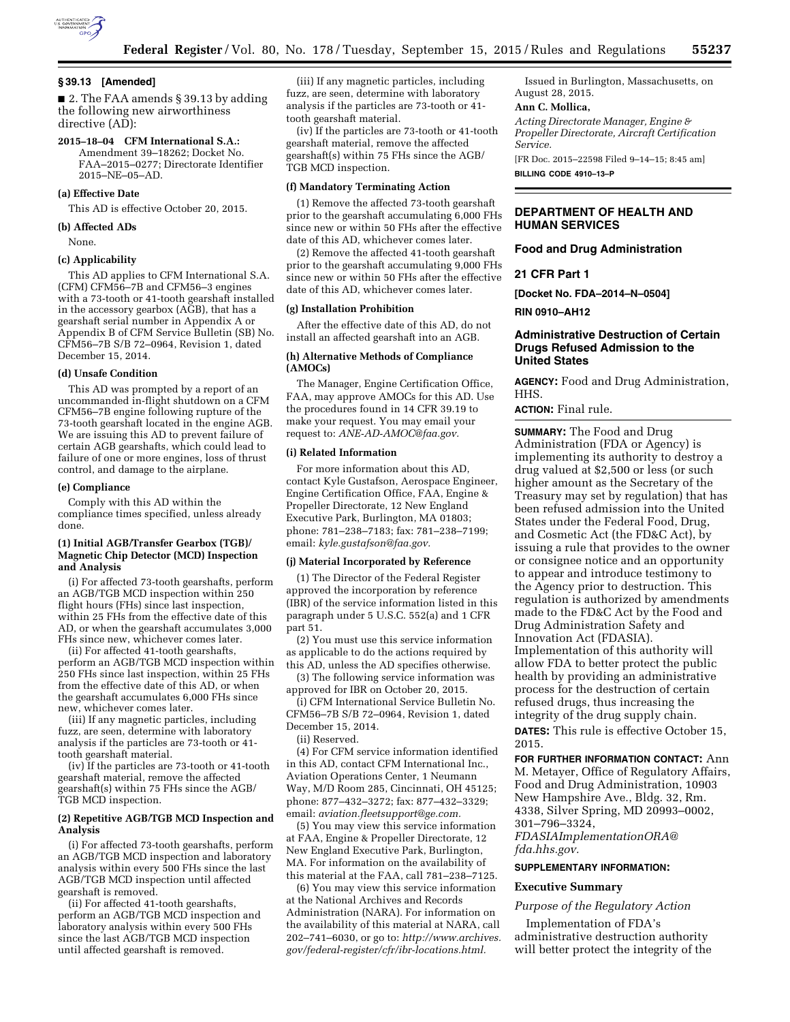

#### **§ 39.13 [Amended]**

■ 2. The FAA amends § 39.13 by adding the following new airworthiness directive (AD):

# **2015–18–04 CFM International S.A.:**

Amendment 39–18262; Docket No. FAA–2015–0277; Directorate Identifier 2015–NE–05–AD.

### **(a) Effective Date**

This AD is effective October 20, 2015.

#### **(b) Affected ADs**

None.

#### **(c) Applicability**

This AD applies to CFM International S.A. (CFM) CFM56–7B and CFM56–3 engines with a 73-tooth or 41-tooth gearshaft installed in the accessory gearbox (AGB), that has a gearshaft serial number in Appendix A or Appendix B of CFM Service Bulletin (SB) No. CFM56–7B S/B 72–0964, Revision 1, dated December 15, 2014.

#### **(d) Unsafe Condition**

This AD was prompted by a report of an uncommanded in-flight shutdown on a CFM CFM56–7B engine following rupture of the 73-tooth gearshaft located in the engine AGB. We are issuing this AD to prevent failure of certain AGB gearshafts, which could lead to failure of one or more engines, loss of thrust control, and damage to the airplane.

## **(e) Compliance**

Comply with this AD within the compliance times specified, unless already done.

## **(1) Initial AGB/Transfer Gearbox (TGB)/ Magnetic Chip Detector (MCD) Inspection and Analysis**

(i) For affected 73-tooth gearshafts, perform an AGB/TGB MCD inspection within 250 flight hours (FHs) since last inspection, within 25 FHs from the effective date of this AD, or when the gearshaft accumulates 3,000 FHs since new, whichever comes later.

(ii) For affected 41-tooth gearshafts, perform an AGB/TGB MCD inspection within 250 FHs since last inspection, within 25 FHs from the effective date of this AD, or when the gearshaft accumulates 6,000 FHs since new, whichever comes later.

(iii) If any magnetic particles, including fuzz, are seen, determine with laboratory analysis if the particles are 73-tooth or 41 tooth gearshaft material.

(iv) If the particles are 73-tooth or 41-tooth gearshaft material, remove the affected gearshaft(s) within 75 FHs since the AGB/ TGB MCD inspection.

## **(2) Repetitive AGB/TGB MCD Inspection and Analysis**

(i) For affected 73-tooth gearshafts, perform an AGB/TGB MCD inspection and laboratory analysis within every 500 FHs since the last AGB/TGB MCD inspection until affected gearshaft is removed.

(ii) For affected 41-tooth gearshafts, perform an AGB/TGB MCD inspection and laboratory analysis within every 500 FHs since the last AGB/TGB MCD inspection until affected gearshaft is removed.

(iii) If any magnetic particles, including fuzz, are seen, determine with laboratory analysis if the particles are 73-tooth or 41 tooth gearshaft material.

(iv) If the particles are 73-tooth or 41-tooth gearshaft material, remove the affected gearshaft(s) within 75 FHs since the AGB/ TGB MCD inspection.

#### **(f) Mandatory Terminating Action**

(1) Remove the affected 73-tooth gearshaft prior to the gearshaft accumulating 6,000 FHs since new or within 50 FHs after the effective date of this AD, whichever comes later.

(2) Remove the affected 41-tooth gearshaft prior to the gearshaft accumulating 9,000 FHs since new or within 50 FHs after the effective date of this AD, whichever comes later.

## **(g) Installation Prohibition**

After the effective date of this AD, do not install an affected gearshaft into an AGB.

#### **(h) Alternative Methods of Compliance (AMOCs)**

The Manager, Engine Certification Office, FAA, may approve AMOCs for this AD. Use the procedures found in 14 CFR 39.19 to make your request. You may email your request to: *[ANE-AD-AMOC@faa.gov.](mailto:ANE-AD-AMOC@faa.gov)* 

## **(i) Related Information**

For more information about this AD, contact Kyle Gustafson, Aerospace Engineer, Engine Certification Office, FAA, Engine & Propeller Directorate, 12 New England Executive Park, Burlington, MA 01803; phone: 781–238–7183; fax: 781–238–7199; email: *[kyle.gustafson@faa.gov.](mailto:kyle.gustafson@faa.gov)* 

#### **(j) Material Incorporated by Reference**

(1) The Director of the Federal Register approved the incorporation by reference (IBR) of the service information listed in this paragraph under 5 U.S.C. 552(a) and 1 CFR part 51.

(2) You must use this service information as applicable to do the actions required by this AD, unless the AD specifies otherwise.

(3) The following service information was approved for IBR on October 20, 2015.

(i) CFM International Service Bulletin No. CFM56–7B S/B 72–0964, Revision 1, dated December 15, 2014.

(ii) Reserved.

(4) For CFM service information identified in this AD, contact CFM International Inc., Aviation Operations Center, 1 Neumann Way, M/D Room 285, Cincinnati, OH 45125; phone: 877–432–3272; fax: 877–432–3329; email: *[aviation.fleetsupport@ge.com.](mailto:aviation.fleetsupport@ge.com)* 

(5) You may view this service information at FAA, Engine & Propeller Directorate, 12 New England Executive Park, Burlington, MA. For information on the availability of this material at the FAA, call 781–238–7125.

(6) You may view this service information at the National Archives and Records Administration (NARA). For information on the availability of this material at NARA, call 202–741–6030, or go to: *[http://www.archives.](http://www.archives.gov/federal-register/cfr/ibr-locations.html) [gov/federal-register/cfr/ibr-locations.html.](http://www.archives.gov/federal-register/cfr/ibr-locations.html)* 

Issued in Burlington, Massachusetts, on August 28, 2015.

## **Ann C. Mollica,**

*Acting Directorate Manager, Engine & Propeller Directorate, Aircraft Certification Service.* 

[FR Doc. 2015–22598 Filed 9–14–15; 8:45 am] **BILLING CODE 4910–13–P** 

**DEPARTMENT OF HEALTH AND HUMAN SERVICES** 

### **Food and Drug Administration**

**21 CFR Part 1** 

**[Docket No. FDA–2014–N–0504]** 

**RIN 0910–AH12** 

## **Administrative Destruction of Certain Drugs Refused Admission to the United States**

**AGENCY:** Food and Drug Administration, HHS.

**ACTION:** Final rule.

**SUMMARY:** The Food and Drug Administration (FDA or Agency) is implementing its authority to destroy a drug valued at \$2,500 or less (or such higher amount as the Secretary of the Treasury may set by regulation) that has been refused admission into the United States under the Federal Food, Drug, and Cosmetic Act (the FD&C Act), by issuing a rule that provides to the owner or consignee notice and an opportunity to appear and introduce testimony to the Agency prior to destruction. This regulation is authorized by amendments made to the FD&C Act by the Food and Drug Administration Safety and Innovation Act (FDASIA). Implementation of this authority will allow FDA to better protect the public health by providing an administrative process for the destruction of certain refused drugs, thus increasing the integrity of the drug supply chain.

**DATES:** This rule is effective October 15, 2015.

**FOR FURTHER INFORMATION CONTACT:** Ann M. Metayer, Office of Regulatory Affairs, Food and Drug Administration, 10903 New Hampshire Ave., Bldg. 32, Rm. 4338, Silver Spring, MD 20993–0002, 301–796–3324,

*[FDASIAImplementationORA@](mailto:FDASIAImplementationORA@fda.hhs.gov) [fda.hhs.gov.](mailto:FDASIAImplementationORA@fda.hhs.gov)* 

## **SUPPLEMENTARY INFORMATION:**

## **Executive Summary**

## *Purpose of the Regulatory Action*

Implementation of FDA's administrative destruction authority will better protect the integrity of the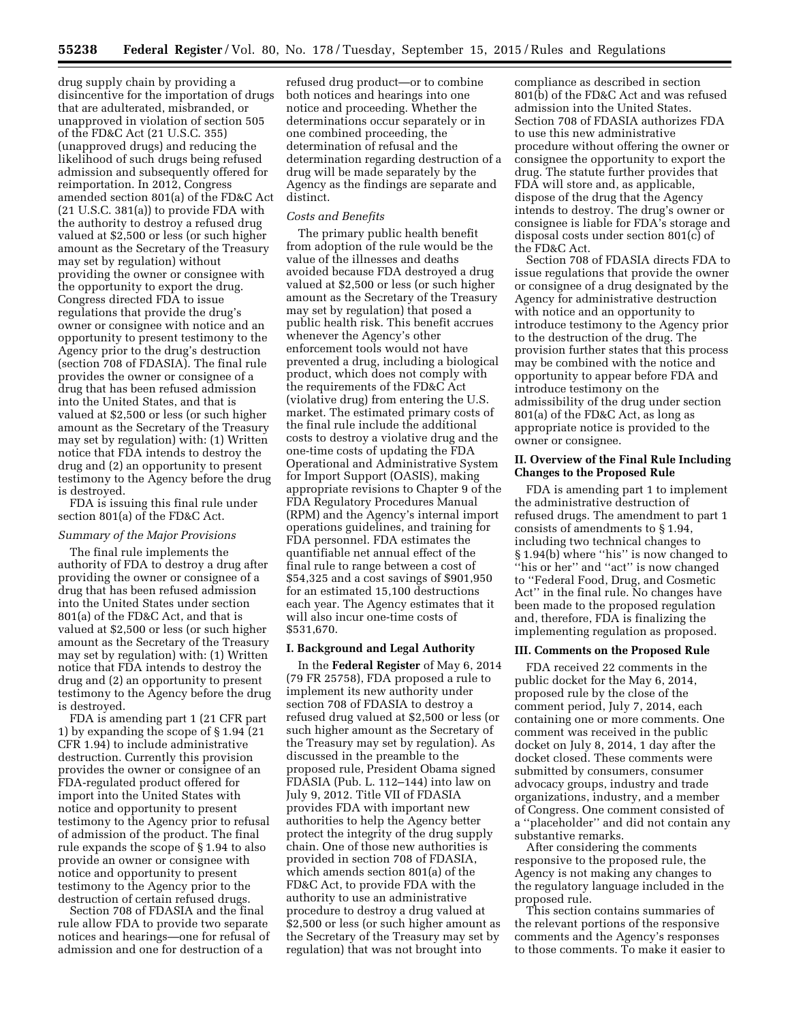drug supply chain by providing a disincentive for the importation of drugs that are adulterated, misbranded, or unapproved in violation of section 505 of the FD&C Act (21 U.S.C. 355) (unapproved drugs) and reducing the likelihood of such drugs being refused admission and subsequently offered for reimportation. In 2012, Congress amended section 801(a) of the FD&C Act (21 U.S.C. 381(a)) to provide FDA with the authority to destroy a refused drug valued at \$2,500 or less (or such higher amount as the Secretary of the Treasury may set by regulation) without providing the owner or consignee with the opportunity to export the drug. Congress directed FDA to issue regulations that provide the drug's owner or consignee with notice and an opportunity to present testimony to the Agency prior to the drug's destruction (section 708 of FDASIA). The final rule provides the owner or consignee of a drug that has been refused admission into the United States, and that is valued at \$2,500 or less (or such higher amount as the Secretary of the Treasury may set by regulation) with: (1) Written notice that FDA intends to destroy the drug and (2) an opportunity to present testimony to the Agency before the drug is destroyed.

FDA is issuing this final rule under section 801(a) of the FD&C Act.

#### *Summary of the Major Provisions*

The final rule implements the authority of FDA to destroy a drug after providing the owner or consignee of a drug that has been refused admission into the United States under section 801(a) of the FD&C Act, and that is valued at \$2,500 or less (or such higher amount as the Secretary of the Treasury may set by regulation) with: (1) Written notice that FDA intends to destroy the drug and (2) an opportunity to present testimony to the Agency before the drug is destroyed.

FDA is amending part 1 (21 CFR part 1) by expanding the scope of § 1.94 (21 CFR 1.94) to include administrative destruction. Currently this provision provides the owner or consignee of an FDA-regulated product offered for import into the United States with notice and opportunity to present testimony to the Agency prior to refusal of admission of the product. The final rule expands the scope of § 1.94 to also provide an owner or consignee with notice and opportunity to present testimony to the Agency prior to the destruction of certain refused drugs.

Section 708 of FDASIA and the final rule allow FDA to provide two separate notices and hearings—one for refusal of admission and one for destruction of a

refused drug product—or to combine both notices and hearings into one notice and proceeding. Whether the determinations occur separately or in one combined proceeding, the determination of refusal and the determination regarding destruction of a drug will be made separately by the Agency as the findings are separate and distinct.

#### *Costs and Benefits*

The primary public health benefit from adoption of the rule would be the value of the illnesses and deaths avoided because FDA destroyed a drug valued at \$2,500 or less (or such higher amount as the Secretary of the Treasury may set by regulation) that posed a public health risk. This benefit accrues whenever the Agency's other enforcement tools would not have prevented a drug, including a biological product, which does not comply with the requirements of the FD&C Act (violative drug) from entering the U.S. market. The estimated primary costs of the final rule include the additional costs to destroy a violative drug and the one-time costs of updating the FDA Operational and Administrative System for Import Support (OASIS), making appropriate revisions to Chapter 9 of the FDA Regulatory Procedures Manual (RPM) and the Agency's internal import operations guidelines, and training for FDA personnel. FDA estimates the quantifiable net annual effect of the final rule to range between a cost of \$54,325 and a cost savings of \$901,950 for an estimated 15,100 destructions each year. The Agency estimates that it will also incur one-time costs of \$531,670.

## **I. Background and Legal Authority**

In the **Federal Register** of May 6, 2014 (79 FR 25758), FDA proposed a rule to implement its new authority under section 708 of FDASIA to destroy a refused drug valued at \$2,500 or less (or such higher amount as the Secretary of the Treasury may set by regulation). As discussed in the preamble to the proposed rule, President Obama signed FDASIA (Pub. L. 112–144) into law on July 9, 2012. Title VII of FDASIA provides FDA with important new authorities to help the Agency better protect the integrity of the drug supply chain. One of those new authorities is provided in section 708 of FDASIA, which amends section 801(a) of the FD&C Act, to provide FDA with the authority to use an administrative procedure to destroy a drug valued at \$2,500 or less (or such higher amount as the Secretary of the Treasury may set by regulation) that was not brought into

compliance as described in section 801(b) of the FD&C Act and was refused admission into the United States. Section 708 of FDASIA authorizes FDA to use this new administrative procedure without offering the owner or consignee the opportunity to export the drug. The statute further provides that FDA will store and, as applicable, dispose of the drug that the Agency intends to destroy. The drug's owner or consignee is liable for FDA's storage and disposal costs under section 801(c) of the FD&C Act.

Section 708 of FDASIA directs FDA to issue regulations that provide the owner or consignee of a drug designated by the Agency for administrative destruction with notice and an opportunity to introduce testimony to the Agency prior to the destruction of the drug. The provision further states that this process may be combined with the notice and opportunity to appear before FDA and introduce testimony on the admissibility of the drug under section 801(a) of the FD&C Act, as long as appropriate notice is provided to the owner or consignee.

## **II. Overview of the Final Rule Including Changes to the Proposed Rule**

FDA is amending part 1 to implement the administrative destruction of refused drugs. The amendment to part 1 consists of amendments to § 1.94, including two technical changes to § 1.94(b) where ''his'' is now changed to "his or her" and "act" is now changed to ''Federal Food, Drug, and Cosmetic Act'' in the final rule. No changes have been made to the proposed regulation and, therefore, FDA is finalizing the implementing regulation as proposed.

#### **III. Comments on the Proposed Rule**

FDA received 22 comments in the public docket for the May 6, 2014, proposed rule by the close of the comment period, July 7, 2014, each containing one or more comments. One comment was received in the public docket on July 8, 2014, 1 day after the docket closed. These comments were submitted by consumers, consumer advocacy groups, industry and trade organizations, industry, and a member of Congress. One comment consisted of a ''placeholder'' and did not contain any substantive remarks.

After considering the comments responsive to the proposed rule, the Agency is not making any changes to the regulatory language included in the proposed rule.

This section contains summaries of the relevant portions of the responsive comments and the Agency's responses to those comments. To make it easier to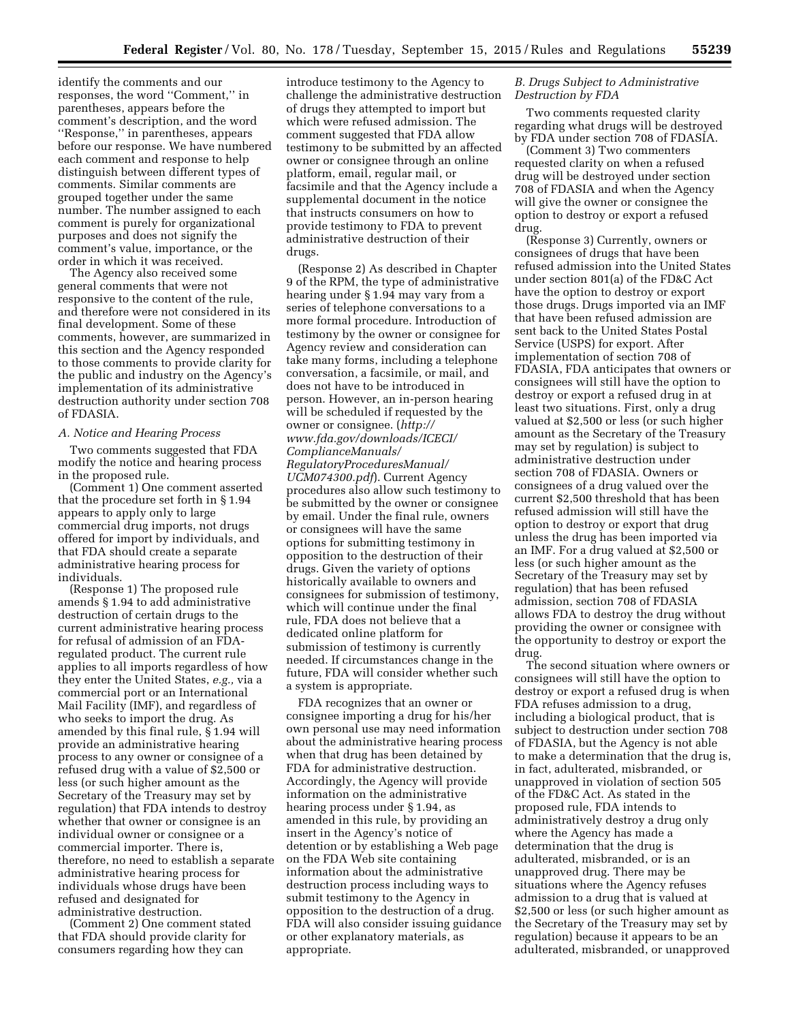identify the comments and our responses, the word ''Comment,'' in parentheses, appears before the comment's description, and the word ''Response,'' in parentheses, appears before our response. We have numbered each comment and response to help distinguish between different types of comments. Similar comments are grouped together under the same number. The number assigned to each comment is purely for organizational purposes and does not signify the comment's value, importance, or the order in which it was received.

The Agency also received some general comments that were not responsive to the content of the rule, and therefore were not considered in its final development. Some of these comments, however, are summarized in this section and the Agency responded to those comments to provide clarity for the public and industry on the Agency's implementation of its administrative destruction authority under section 708 of FDASIA.

### *A. Notice and Hearing Process*

Two comments suggested that FDA modify the notice and hearing process in the proposed rule.

(Comment 1) One comment asserted that the procedure set forth in § 1.94 appears to apply only to large commercial drug imports, not drugs offered for import by individuals, and that FDA should create a separate administrative hearing process for individuals.

(Response 1) The proposed rule amends § 1.94 to add administrative destruction of certain drugs to the current administrative hearing process for refusal of admission of an FDAregulated product. The current rule applies to all imports regardless of how they enter the United States, *e.g.,* via a commercial port or an International Mail Facility (IMF), and regardless of who seeks to import the drug. As amended by this final rule, § 1.94 will provide an administrative hearing process to any owner or consignee of a refused drug with a value of \$2,500 or less (or such higher amount as the Secretary of the Treasury may set by regulation) that FDA intends to destroy whether that owner or consignee is an individual owner or consignee or a commercial importer. There is, therefore, no need to establish a separate administrative hearing process for individuals whose drugs have been refused and designated for administrative destruction.

(Comment 2) One comment stated that FDA should provide clarity for consumers regarding how they can

introduce testimony to the Agency to challenge the administrative destruction of drugs they attempted to import but which were refused admission. The comment suggested that FDA allow testimony to be submitted by an affected owner or consignee through an online platform, email, regular mail, or facsimile and that the Agency include a supplemental document in the notice that instructs consumers on how to provide testimony to FDA to prevent administrative destruction of their drugs.

(Response 2) As described in Chapter 9 of the RPM, the type of administrative hearing under § 1.94 may vary from a series of telephone conversations to a more formal procedure. Introduction of testimony by the owner or consignee for Agency review and consideration can take many forms, including a telephone conversation, a facsimile, or mail, and does not have to be introduced in person. However, an in-person hearing will be scheduled if requested by the owner or consignee. (*[http://](http://www.fda.gov/downloads/ICECI/ComplianceManuals/RegulatoryProceduresManual/UCM074300.pdf) [www.fda.gov/downloads/ICECI/](http://www.fda.gov/downloads/ICECI/ComplianceManuals/RegulatoryProceduresManual/UCM074300.pdf) [ComplianceManuals/](http://www.fda.gov/downloads/ICECI/ComplianceManuals/RegulatoryProceduresManual/UCM074300.pdf) [RegulatoryProceduresManual/](http://www.fda.gov/downloads/ICECI/ComplianceManuals/RegulatoryProceduresManual/UCM074300.pdf)*

*[UCM074300.pdf](http://www.fda.gov/downloads/ICECI/ComplianceManuals/RegulatoryProceduresManual/UCM074300.pdf)*). Current Agency procedures also allow such testimony to be submitted by the owner or consignee by email. Under the final rule, owners or consignees will have the same options for submitting testimony in opposition to the destruction of their drugs. Given the variety of options historically available to owners and consignees for submission of testimony, which will continue under the final rule, FDA does not believe that a dedicated online platform for submission of testimony is currently needed. If circumstances change in the future, FDA will consider whether such a system is appropriate.

FDA recognizes that an owner or consignee importing a drug for his/her own personal use may need information about the administrative hearing process when that drug has been detained by FDA for administrative destruction. Accordingly, the Agency will provide information on the administrative hearing process under § 1.94, as amended in this rule, by providing an insert in the Agency's notice of detention or by establishing a Web page on the FDA Web site containing information about the administrative destruction process including ways to submit testimony to the Agency in opposition to the destruction of a drug. FDA will also consider issuing guidance or other explanatory materials, as appropriate.

## *B. Drugs Subject to Administrative Destruction by FDA*

Two comments requested clarity regarding what drugs will be destroyed by FDA under section 708 of FDASIA.

(Comment 3) Two commenters requested clarity on when a refused drug will be destroyed under section 708 of FDASIA and when the Agency will give the owner or consignee the option to destroy or export a refused drug.

(Response 3) Currently, owners or consignees of drugs that have been refused admission into the United States under section 801(a) of the FD&C Act have the option to destroy or export those drugs. Drugs imported via an IMF that have been refused admission are sent back to the United States Postal Service (USPS) for export. After implementation of section 708 of FDASIA, FDA anticipates that owners or consignees will still have the option to destroy or export a refused drug in at least two situations. First, only a drug valued at \$2,500 or less (or such higher amount as the Secretary of the Treasury may set by regulation) is subject to administrative destruction under section 708 of FDASIA. Owners or consignees of a drug valued over the current \$2,500 threshold that has been refused admission will still have the option to destroy or export that drug unless the drug has been imported via an IMF. For a drug valued at \$2,500 or less (or such higher amount as the Secretary of the Treasury may set by regulation) that has been refused admission, section 708 of FDASIA allows FDA to destroy the drug without providing the owner or consignee with the opportunity to destroy or export the drug.

The second situation where owners or consignees will still have the option to destroy or export a refused drug is when FDA refuses admission to a drug, including a biological product, that is subject to destruction under section 708 of FDASIA, but the Agency is not able to make a determination that the drug is, in fact, adulterated, misbranded, or unapproved in violation of section 505 of the FD&C Act. As stated in the proposed rule, FDA intends to administratively destroy a drug only where the Agency has made a determination that the drug is adulterated, misbranded, or is an unapproved drug. There may be situations where the Agency refuses admission to a drug that is valued at \$2,500 or less (or such higher amount as the Secretary of the Treasury may set by regulation) because it appears to be an adulterated, misbranded, or unapproved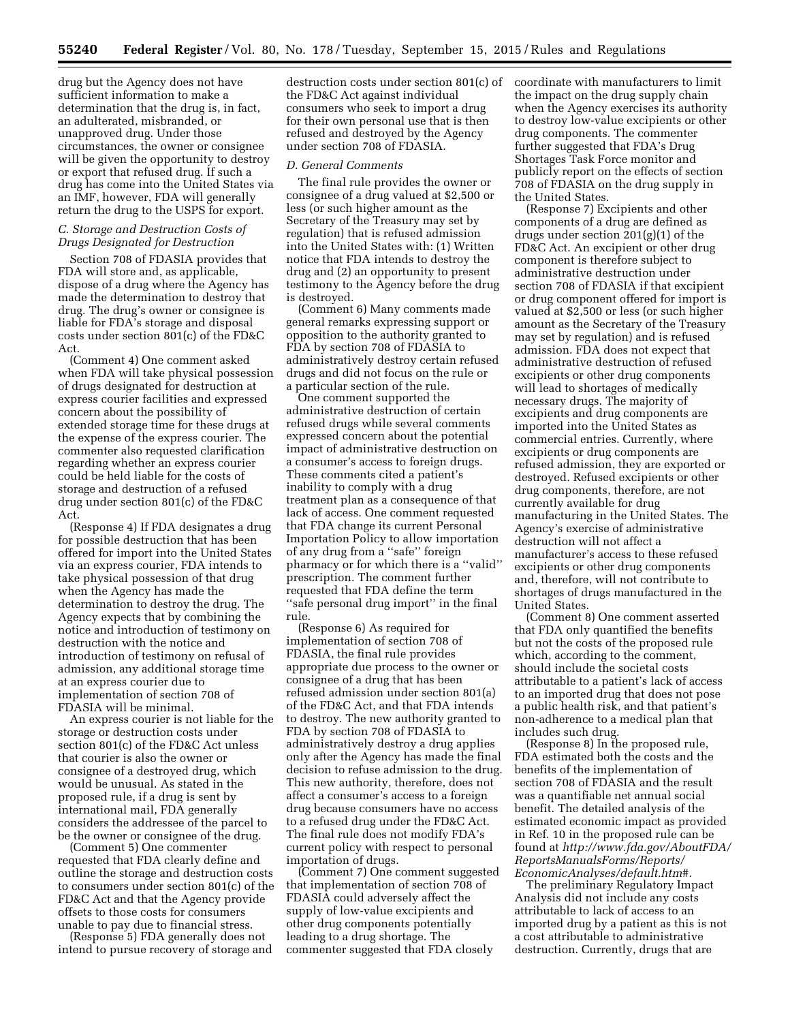drug but the Agency does not have sufficient information to make a determination that the drug is, in fact, an adulterated, misbranded, or unapproved drug. Under those circumstances, the owner or consignee will be given the opportunity to destroy or export that refused drug. If such a drug has come into the United States via an IMF, however, FDA will generally return the drug to the USPS for export.

## *C. Storage and Destruction Costs of Drugs Designated for Destruction*

Section 708 of FDASIA provides that FDA will store and, as applicable, dispose of a drug where the Agency has made the determination to destroy that drug. The drug's owner or consignee is liable for FDA's storage and disposal costs under section 801(c) of the FD&C Act.

(Comment 4) One comment asked when FDA will take physical possession of drugs designated for destruction at express courier facilities and expressed concern about the possibility of extended storage time for these drugs at the expense of the express courier. The commenter also requested clarification regarding whether an express courier could be held liable for the costs of storage and destruction of a refused drug under section 801(c) of the FD&C Act.

(Response 4) If FDA designates a drug for possible destruction that has been offered for import into the United States via an express courier, FDA intends to take physical possession of that drug when the Agency has made the determination to destroy the drug. The Agency expects that by combining the notice and introduction of testimony on destruction with the notice and introduction of testimony on refusal of admission, any additional storage time at an express courier due to implementation of section 708 of FDASIA will be minimal.

An express courier is not liable for the storage or destruction costs under section 801(c) of the FD&C Act unless that courier is also the owner or consignee of a destroyed drug, which would be unusual. As stated in the proposed rule, if a drug is sent by international mail, FDA generally considers the addressee of the parcel to be the owner or consignee of the drug.

(Comment 5) One commenter requested that FDA clearly define and outline the storage and destruction costs to consumers under section 801(c) of the FD&C Act and that the Agency provide offsets to those costs for consumers unable to pay due to financial stress.

(Response 5) FDA generally does not intend to pursue recovery of storage and destruction costs under section 801(c) of the FD&C Act against individual consumers who seek to import a drug for their own personal use that is then refused and destroyed by the Agency under section 708 of FDASIA.

#### *D. General Comments*

The final rule provides the owner or consignee of a drug valued at \$2,500 or less (or such higher amount as the Secretary of the Treasury may set by regulation) that is refused admission into the United States with: (1) Written notice that FDA intends to destroy the drug and (2) an opportunity to present testimony to the Agency before the drug is destroyed.

(Comment 6) Many comments made general remarks expressing support or opposition to the authority granted to FDA by section 708 of FDASIA to administratively destroy certain refused drugs and did not focus on the rule or a particular section of the rule.

One comment supported the administrative destruction of certain refused drugs while several comments expressed concern about the potential impact of administrative destruction on a consumer's access to foreign drugs. These comments cited a patient's inability to comply with a drug treatment plan as a consequence of that lack of access. One comment requested that FDA change its current Personal Importation Policy to allow importation of any drug from a ''safe'' foreign pharmacy or for which there is a ''valid'' prescription. The comment further requested that FDA define the term ''safe personal drug import'' in the final rule.

(Response 6) As required for implementation of section 708 of FDASIA, the final rule provides appropriate due process to the owner or consignee of a drug that has been refused admission under section 801(a) of the FD&C Act, and that FDA intends to destroy. The new authority granted to FDA by section 708 of FDASIA to administratively destroy a drug applies only after the Agency has made the final decision to refuse admission to the drug. This new authority, therefore, does not affect a consumer's access to a foreign drug because consumers have no access to a refused drug under the FD&C Act. The final rule does not modify FDA's current policy with respect to personal importation of drugs.

(Comment 7) One comment suggested that implementation of section 708 of FDASIA could adversely affect the supply of low-value excipients and other drug components potentially leading to a drug shortage. The commenter suggested that FDA closely

coordinate with manufacturers to limit the impact on the drug supply chain when the Agency exercises its authority to destroy low-value excipients or other drug components. The commenter further suggested that FDA's Drug Shortages Task Force monitor and publicly report on the effects of section 708 of FDASIA on the drug supply in the United States.

(Response 7) Excipients and other components of a drug are defined as drugs under section 201(g)(1) of the FD&C Act. An excipient or other drug component is therefore subject to administrative destruction under section 708 of FDASIA if that excipient or drug component offered for import is valued at \$2,500 or less (or such higher amount as the Secretary of the Treasury may set by regulation) and is refused admission. FDA does not expect that administrative destruction of refused excipients or other drug components will lead to shortages of medically necessary drugs. The majority of excipients and drug components are imported into the United States as commercial entries. Currently, where excipients or drug components are refused admission, they are exported or destroyed. Refused excipients or other drug components, therefore, are not currently available for drug manufacturing in the United States. The Agency's exercise of administrative destruction will not affect a manufacturer's access to these refused excipients or other drug components and, therefore, will not contribute to shortages of drugs manufactured in the United States.

(Comment 8) One comment asserted that FDA only quantified the benefits but not the costs of the proposed rule which, according to the comment, should include the societal costs attributable to a patient's lack of access to an imported drug that does not pose a public health risk, and that patient's non-adherence to a medical plan that includes such drug.

(Response 8) In the proposed rule, FDA estimated both the costs and the benefits of the implementation of section 708 of FDASIA and the result was a quantifiable net annual social benefit. The detailed analysis of the estimated economic impact as provided in Ref. 10 in the proposed rule can be found at *[http://www.fda.gov/AboutFDA/](http://www.fda.gov/AboutFDA/ReportsManualsForms/Reports/EconomicAnalyses/default.htm#)  [ReportsManualsForms/Reports/](http://www.fda.gov/AboutFDA/ReportsManualsForms/Reports/EconomicAnalyses/default.htm#) [EconomicAnalyses/default.htm#.](http://www.fda.gov/AboutFDA/ReportsManualsForms/Reports/EconomicAnalyses/default.htm#)* 

The preliminary Regulatory Impact Analysis did not include any costs attributable to lack of access to an imported drug by a patient as this is not a cost attributable to administrative destruction. Currently, drugs that are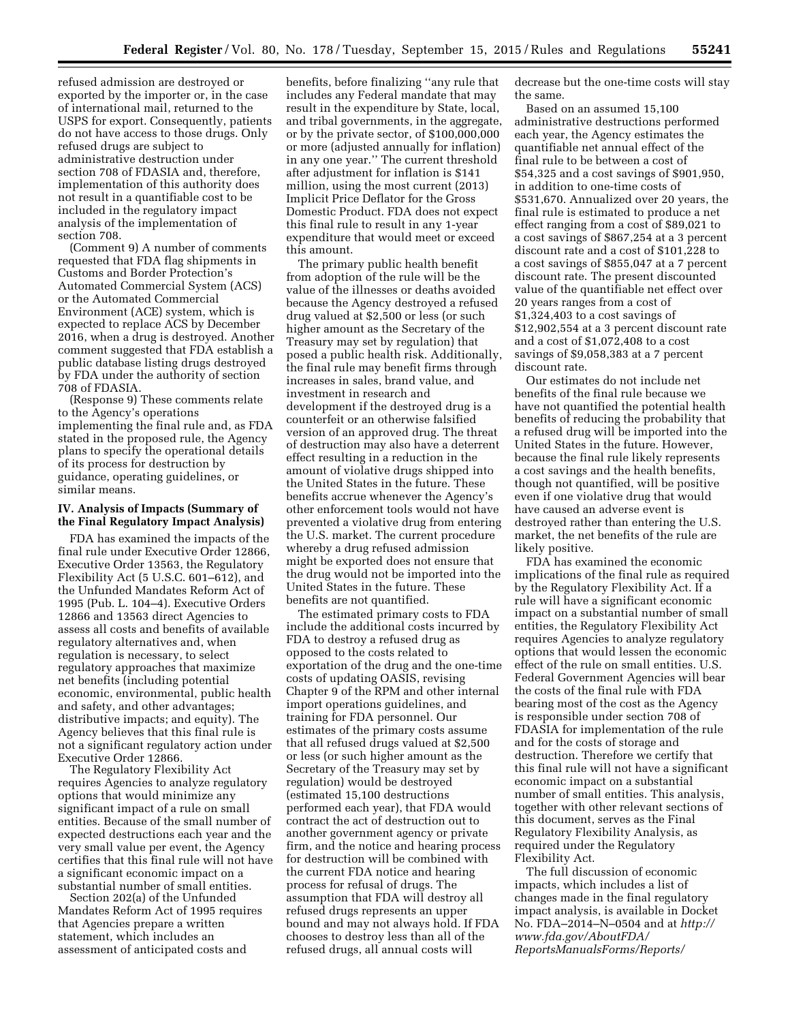refused admission are destroyed or exported by the importer or, in the case of international mail, returned to the USPS for export. Consequently, patients do not have access to those drugs. Only refused drugs are subject to administrative destruction under section 708 of FDASIA and, therefore, implementation of this authority does not result in a quantifiable cost to be included in the regulatory impact analysis of the implementation of section 708.

(Comment 9) A number of comments requested that FDA flag shipments in Customs and Border Protection's Automated Commercial System (ACS) or the Automated Commercial Environment (ACE) system, which is expected to replace ACS by December 2016, when a drug is destroyed. Another comment suggested that FDA establish a public database listing drugs destroyed by FDA under the authority of section 708 of FDASIA.

(Response 9) These comments relate to the Agency's operations implementing the final rule and, as FDA stated in the proposed rule, the Agency plans to specify the operational details of its process for destruction by guidance, operating guidelines, or similar means.

## **IV. Analysis of Impacts (Summary of the Final Regulatory Impact Analysis)**

FDA has examined the impacts of the final rule under Executive Order 12866, Executive Order 13563, the Regulatory Flexibility Act (5 U.S.C. 601–612), and the Unfunded Mandates Reform Act of 1995 (Pub. L. 104–4). Executive Orders 12866 and 13563 direct Agencies to assess all costs and benefits of available regulatory alternatives and, when regulation is necessary, to select regulatory approaches that maximize net benefits (including potential economic, environmental, public health and safety, and other advantages; distributive impacts; and equity). The Agency believes that this final rule is not a significant regulatory action under Executive Order 12866.

The Regulatory Flexibility Act requires Agencies to analyze regulatory options that would minimize any significant impact of a rule on small entities. Because of the small number of expected destructions each year and the very small value per event, the Agency certifies that this final rule will not have a significant economic impact on a substantial number of small entities.

Section 202(a) of the Unfunded Mandates Reform Act of 1995 requires that Agencies prepare a written statement, which includes an assessment of anticipated costs and

benefits, before finalizing ''any rule that includes any Federal mandate that may result in the expenditure by State, local, and tribal governments, in the aggregate, or by the private sector, of \$100,000,000 or more (adjusted annually for inflation) in any one year.'' The current threshold after adjustment for inflation is \$141 million, using the most current (2013) Implicit Price Deflator for the Gross Domestic Product. FDA does not expect this final rule to result in any 1-year expenditure that would meet or exceed this amount.

The primary public health benefit from adoption of the rule will be the value of the illnesses or deaths avoided because the Agency destroyed a refused drug valued at \$2,500 or less (or such higher amount as the Secretary of the Treasury may set by regulation) that posed a public health risk. Additionally, the final rule may benefit firms through increases in sales, brand value, and investment in research and development if the destroyed drug is a counterfeit or an otherwise falsified version of an approved drug. The threat of destruction may also have a deterrent effect resulting in a reduction in the amount of violative drugs shipped into the United States in the future. These benefits accrue whenever the Agency's other enforcement tools would not have prevented a violative drug from entering the U.S. market. The current procedure whereby a drug refused admission might be exported does not ensure that the drug would not be imported into the United States in the future. These benefits are not quantified.

The estimated primary costs to FDA include the additional costs incurred by FDA to destroy a refused drug as opposed to the costs related to exportation of the drug and the one-time costs of updating OASIS, revising Chapter 9 of the RPM and other internal import operations guidelines, and training for FDA personnel. Our estimates of the primary costs assume that all refused drugs valued at \$2,500 or less (or such higher amount as the Secretary of the Treasury may set by regulation) would be destroyed (estimated 15,100 destructions performed each year), that FDA would contract the act of destruction out to another government agency or private firm, and the notice and hearing process for destruction will be combined with the current FDA notice and hearing process for refusal of drugs. The assumption that FDA will destroy all refused drugs represents an upper bound and may not always hold. If FDA chooses to destroy less than all of the refused drugs, all annual costs will

decrease but the one-time costs will stay the same.

Based on an assumed 15,100 administrative destructions performed each year, the Agency estimates the quantifiable net annual effect of the final rule to be between a cost of \$54,325 and a cost savings of \$901,950, in addition to one-time costs of \$531,670. Annualized over 20 years, the final rule is estimated to produce a net effect ranging from a cost of \$89,021 to a cost savings of \$867,254 at a 3 percent discount rate and a cost of \$101,228 to a cost savings of \$855,047 at a 7 percent discount rate. The present discounted value of the quantifiable net effect over 20 years ranges from a cost of \$1,324,403 to a cost savings of \$12,902,554 at a 3 percent discount rate and a cost of \$1,072,408 to a cost savings of \$9,058,383 at a 7 percent discount rate.

Our estimates do not include net benefits of the final rule because we have not quantified the potential health benefits of reducing the probability that a refused drug will be imported into the United States in the future. However, because the final rule likely represents a cost savings and the health benefits, though not quantified, will be positive even if one violative drug that would have caused an adverse event is destroyed rather than entering the U.S. market, the net benefits of the rule are likely positive.

FDA has examined the economic implications of the final rule as required by the Regulatory Flexibility Act. If a rule will have a significant economic impact on a substantial number of small entities, the Regulatory Flexibility Act requires Agencies to analyze regulatory options that would lessen the economic effect of the rule on small entities. U.S. Federal Government Agencies will bear the costs of the final rule with FDA bearing most of the cost as the Agency is responsible under section 708 of FDASIA for implementation of the rule and for the costs of storage and destruction. Therefore we certify that this final rule will not have a significant economic impact on a substantial number of small entities. This analysis, together with other relevant sections of this document, serves as the Final Regulatory Flexibility Analysis, as required under the Regulatory Flexibility Act.

The full discussion of economic impacts, which includes a list of changes made in the final regulatory impact analysis, is available in Docket No. FDA–2014–N–0504 and at *[http://](http://www.fda.gov/AboutFDA/ReportsManualsForms/Reports/) [www.fda.gov/AboutFDA/](http://www.fda.gov/AboutFDA/ReportsManualsForms/Reports/) [ReportsManualsForms/Reports/](http://www.fda.gov/AboutFDA/ReportsManualsForms/Reports/)*